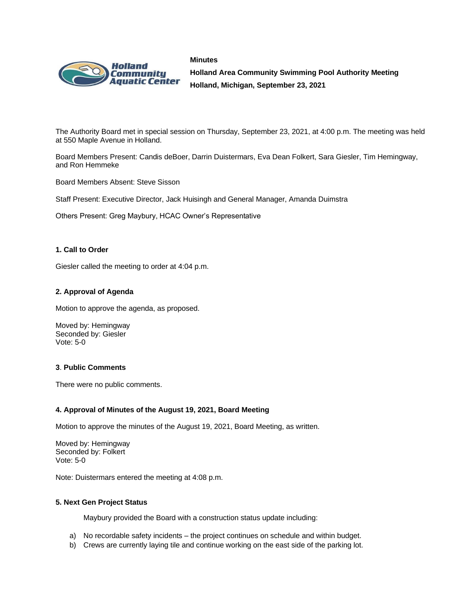



**Holland Area Community Swimming Pool Authority Meeting Holland, Michigan, September 23, 2021**

The Authority Board met in special session on Thursday, September 23, 2021, at 4:00 p.m. The meeting was held at 550 Maple Avenue in Holland.

Board Members Present: Candis deBoer, Darrin Duistermars, Eva Dean Folkert, Sara Giesler, Tim Hemingway, and Ron Hemmeke

Board Members Absent: Steve Sisson

Staff Present: Executive Director, Jack Huisingh and General Manager, Amanda Duimstra

Others Present: Greg Maybury, HCAC Owner's Representative

### **1. Call to Order**

Giesler called the meeting to order at 4:04 p.m.

# **2. Approval of Agenda**

Motion to approve the agenda, as proposed.

Moved by: Hemingway Seconded by: Giesler Vote: 5-0

### **3**. **Public Comments**

There were no public comments.

### **4. Approval of Minutes of the August 19, 2021, Board Meeting**

Motion to approve the minutes of the August 19, 2021, Board Meeting, as written.

Moved by: Hemingway Seconded by: Folkert Vote: 5-0

Note: Duistermars entered the meeting at 4:08 p.m.

### **5. Next Gen Project Status**

Maybury provided the Board with a construction status update including:

- a) No recordable safety incidents the project continues on schedule and within budget.
- b) Crews are currently laying tile and continue working on the east side of the parking lot.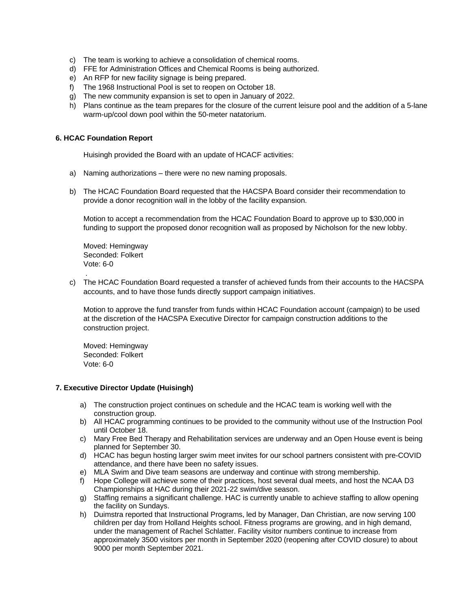- c) The team is working to achieve a consolidation of chemical rooms.
- d) FFE for Administration Offices and Chemical Rooms is being authorized.
- e) An RFP for new facility signage is being prepared.
- f) The 1968 Instructional Pool is set to reopen on October 18.
- g) The new community expansion is set to open in January of 2022.
- h) Plans continue as the team prepares for the closure of the current leisure pool and the addition of a 5-lane warm-up/cool down pool within the 50-meter natatorium.

# **6. HCAC Foundation Report**

Huisingh provided the Board with an update of HCACF activities:

- a) Naming authorizations there were no new naming proposals.
- b) The HCAC Foundation Board requested that the HACSPA Board consider their recommendation to provide a donor recognition wall in the lobby of the facility expansion.

Motion to accept a recommendation from the HCAC Foundation Board to approve up to \$30,000 in funding to support the proposed donor recognition wall as proposed by Nicholson for the new lobby.

Moved: Hemingway Seconded: Folkert Vote: 6-0

.

c) The HCAC Foundation Board requested a transfer of achieved funds from their accounts to the HACSPA accounts, and to have those funds directly support campaign initiatives.

Motion to approve the fund transfer from funds within HCAC Foundation account (campaign) to be used at the discretion of the HACSPA Executive Director for campaign construction additions to the construction project.

Moved: Hemingway Seconded: Folkert Vote: 6-0

### **7. Executive Director Update (Huisingh)**

- a) The construction project continues on schedule and the HCAC team is working well with the construction group.
- b) All HCAC programming continues to be provided to the community without use of the Instruction Pool until October 18.
- c) Mary Free Bed Therapy and Rehabilitation services are underway and an Open House event is being planned for September 30.
- d) HCAC has begun hosting larger swim meet invites for our school partners consistent with pre-COVID attendance, and there have been no safety issues.
- e) MLA Swim and Dive team seasons are underway and continue with strong membership.
- f) Hope College will achieve some of their practices, host several dual meets, and host the NCAA D3 Championships at HAC during their 2021-22 swim/dive season.
- g) Staffing remains a significant challenge. HAC is currently unable to achieve staffing to allow opening the facility on Sundays.
- h) Duimstra reported that Instructional Programs, led by Manager, Dan Christian, are now serving 100 children per day from Holland Heights school. Fitness programs are growing, and in high demand, under the management of Rachel Schlatter. Facility visitor numbers continue to increase from approximately 3500 visitors per month in September 2020 (reopening after COVID closure) to about 9000 per month September 2021.